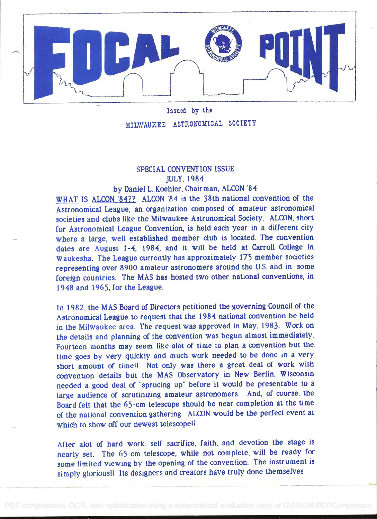

Issued by the MILWAUKEE ASTRONOMICAL SOCIETY

## SPECIAL CONVENTION ISSUE JULY. 1984

## by Daniel L. Koehier, Chairman, ALCON '84

WHAT IS ALCON 84?? ALCON 84 is the 38th national convention of the Astronomical League, an organization composed of amateur astronomical societies and clubs like the Milwaukee Astronomical Society. ALCON, short for Astronomical League Convention, is held each year in a different city where a large, well established member club is located. The convention dates are August 1-4, 1984, and it will be held at Carroll College in Waukesha. The League currently has approximately 175 member societies representing over 8900 amateur astronomers around the U.S. and in some foreign countries. The MAS has hosted two other national conventions, in <sup>1</sup>948 and I 965. for the League.

In 1982, the MAS Board of Directors petitioned the governing Council of the Astronomical League to request that the i 984 national convention be held in the Milwaukee area. The request was approved in May, I 983. Work on the details and planning of the convention was begun almost im mediately. Fourteen months may seem like alot of time to plan a convention but the. time goes by very quickly and much work needed to be done in a very short amount of time!! Not only was there a great deal of work with convention details but the MAS Ubservatory in New Berlin, Wisconsin needed a good deal of "sprucing up" before it would be presentable to a large audience of scrutinizing amateur astronomers. And, of course, the Board felt that the 65-cm telescope should be near completion at the time of the national convention gathering. ALCUN would be the perfect event at which to show off our newest telescope!!

After abt of hard work, self sacrifice. faith, and devotion the stage is nearly set. The 65-cm telescope, while not complete, will be ready for some limited viewing by the opening of the convention. The instrument is simply glorious!! Its designers and creators have truly done themselves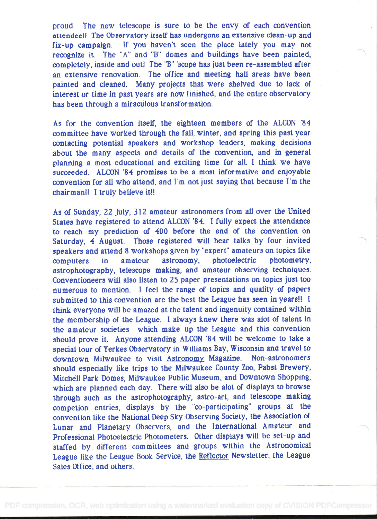proud. The new telescope is sure to be the envy of each convention attendee!! The Observatory itself has undergone an extensive clean-up and fix-up catnpaign. If you haven't seen the place lately you may not recognize it. The "A" and "B" domes and buildings have been painted, completely, inside and out! The "B" scope has just been re-assembled after an extensive renovation. The office and meeting hail areas have been painted and cleaned. Many projects that were shelved due to lack of interest or time in past years are now finished, and the entire observatory has been through a miraculous transformation.

As for the convention itself, the eighteen members of the ALCON '84 committee have worked through the fall, winter, and spring this past year contacting potential speakers and workshop leaders, making decisions about the many aspects and details of the convention, and in general planning a most educational and exciting time for all. I think we have succeeded. ALCON '84 promises to be a most informative and enjoyable convention for all who attend, and I'm not just saying that because I'm the chairman!! I truly believe it!!

As of Sunday, 22 July, 312 amateur astronomers from all over the United States have registered to attend ALCON 84. I fully expect the attendance to reach my prediction of 400 before the end of the convention on Saturday, 4 August. Those registered will hear talks by four invited speakers and attend 8 workshops given by "expert" amateurs on topics like computers in amateur astronomy, photoelectric photometry, astrophotography, telescope making, and amateur observing techniques. Conventioneers will also listen to 25 paper presentations on topics just too numerous to mention. I feel the range of topics and quality of papers sub mitted to this convention are the best the League has seen in years!! I think everyone will be amazed at the talent and ingenuity contained within the membership of the League. I always knew there was abt of talent in the amateur societies which make up the League and this convention should prove it. Anyone attending ALCON '84 will be welcome to take a special tour of Yerkes Observatory in Williams Bay, Wisconsin and travel to downtown Milwaukee to visit Astronomy Magazine. Non-astronomers should especially like trips to the Milwaukee County Zoo, Pabst Brewery, Mitchèli Park Domes, Milwaukee Public Museum, and Downtown Shopping, which are planned each day. There will also be alot of displays to browse through such as the astrophotography, astro-art, and telescope making competion entries, displays by the "co-participating" groups at the convention like the National Deep Sky Observing Society, the Association of Lunar and Planetary Observers, and the International Amateur and Professional Photoelectric Photometers. Other displays will be set-up and staffed by different committees and groups within the Astronomical League like the League Book Service, the Reflector Newsletter, the League Sales Office, and others.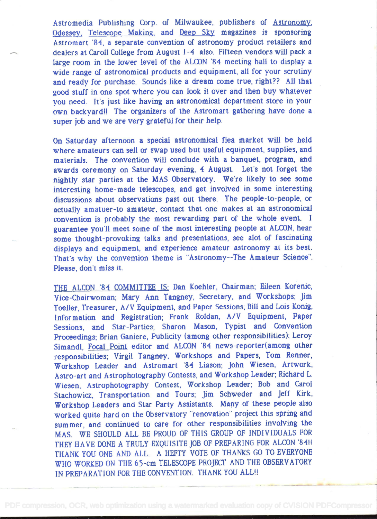Astromedia Publishing Corp. of Milwaukee, publishers of Astronomy, Odessey. Telescope Making, and Deep Sky magazines is sponsoring Astromart '84, a separate convention of astronomy product retailers and dealers at Caroll College from August 1 -4 also. Fifteen vendors will pack a large room in the lower level of the ALCON '84 meeting hall to display a wide range of astronomical products and equipment, all for your scrutiny and ready for purchase. Sounds like a dream come true, right?? All that good stuff in one spot where you can look it over and then buy whatever you need. It's just like having an astronomical department store in your own backyard!! The organizers of the Astromart gathering have done a super job and we are very grateful for their help.

On Saturday afternoon a special astronomical flea market will be held where amateurs can sell or swap used but useful equipment, supplies, and materials. The convention will conclude with a banquet, program, and awards ceremony on Saturday evening, 4 August. Let's not forget the nightly star parties at the MAS Observatory. We're likely to see some interesting home-made telescopes, and get involved in some interesting discussions about observations past out there. The people-to-people, or actually amatuer-to amateur, contact that one makes at an astronomical convention is probably the most rewarding part of the whole event. <sup>I</sup> guarantee you'll meet some of the most interesting people at ALCON, hear some thought-provoking talks and presentations, see abt of fascinating displays and equipment, and experience amateur astronomy at its best. That's why the convention theme is "Astronomy--The Amateur Science". Please, don't miss it.

THE ALCON '84 COMMITTEE IS: Dan Koehler, Chairman; Eileen Korenic, Vice-Chairwoman; Mary Ann Tangney, Secretary, and Workshops; Jim Toeller, Treasurer, A/V Equipment, and Paper Sessions; Bill and Lois Konig, Information and Registration; Frank Roldan, A/V Equipment, Paper Sessions, and Star-Parties; Sharon Mason, Typist and Convention Proceedings; Brian Ganiere, Publicity (among other responsibilities); Leroy Simandl, Focal Point editor and ALCON '84 news-reporter(among other responsibilities; Virgil Tangney, Workshops and Papers, Tom Renner, Workshop Leader and Astromart 84 Liason; John Wiesen, Artwork, Astro-art and Astrophotography Contests, and Workshop Leader; Richard L. Wiesen, Astrophotography Contest, Workshop Leader; Bob and Carol Stachowicz, Transportation and Tours; Jim Schweder and Jeff Kirk, Workshop Leaders and Star Party Assistants. Many of these people also worked quite hard on the Observatory "renovation" project this spring and summer, and continued to care for other responsibilities involving the MAS. WE SHOULD ALL BE PROUD OF THIS GROUP OF INDIVIDUALS FOR THEY HAVE DONE A TRULY EXQUISITE JOB OF PREPARING FOR ALCON '84!! THANK YOU ONE AND ALL. A HEFTY VOTE OF THANKS GO TO EVERYONE WHO WORKED ON THE 65-cm TELESCOPE PROJECT AND THE OBSERVATORY IN PREPARATION FOR THE CONVENTION. THANK YOU ALL!!